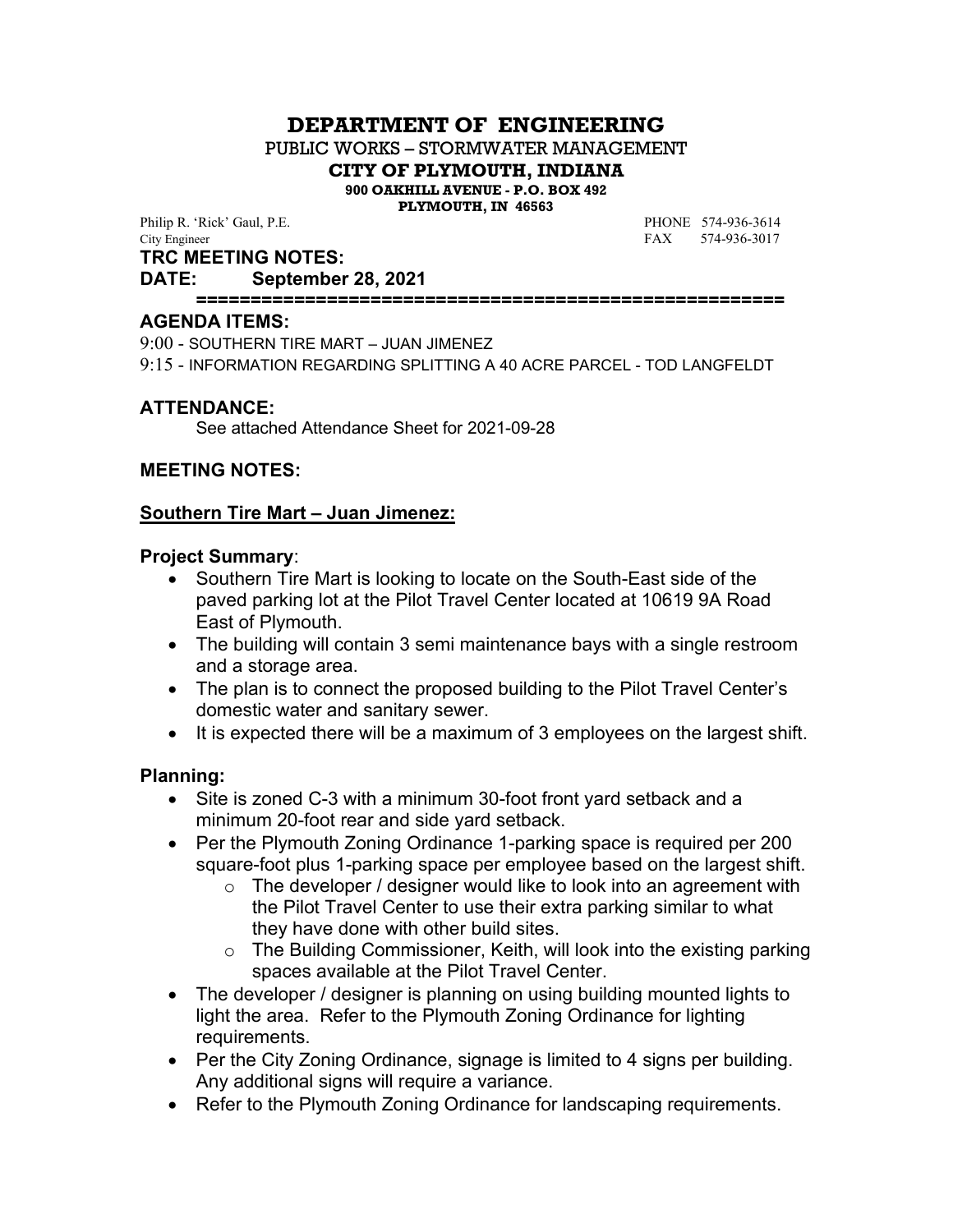# **DEPARTMENT OF ENGINEERING**

PUBLIC WORKS – STORMWATER MANAGEMENT

**CITY OF PLYMOUTH, INDIANA**

**900 OAKHILL AVENUE - P.O. BOX 492**

**PLYMOUTH, IN 46563**

Philip R. 'Rick' Gaul, P.E. **PHONE** 574-936-3614 City Engineer FAX 574-936-3017

#### **TRC MEETING NOTES:**

## **DATE: September 28, 2021**

**======================================================**

#### **AGENDA ITEMS:**

9:00 - SOUTHERN TIRE MART – JUAN JIMENEZ

9:15 - INFORMATION REGARDING SPLITTING A 40 ACRE PARCEL - TOD LANGFELDT

#### **ATTENDANCE:**

See attached Attendance Sheet for 2021-09-28

#### **MEETING NOTES:**

#### **Southern Tire Mart – Juan Jimenez:**

#### **Project Summary**:

- Southern Tire Mart is looking to locate on the South-East side of the paved parking lot at the Pilot Travel Center located at 10619 9A Road East of Plymouth.
- The building will contain 3 semi maintenance bays with a single restroom and a storage area.
- The plan is to connect the proposed building to the Pilot Travel Center's domestic water and sanitary sewer.
- It is expected there will be a maximum of 3 employees on the largest shift.

#### **Planning:**

- Site is zoned C-3 with a minimum 30-foot front yard setback and a minimum 20-foot rear and side yard setback.
- Per the Plymouth Zoning Ordinance 1-parking space is required per 200 square-foot plus 1-parking space per employee based on the largest shift.
	- $\circ$  The developer / designer would like to look into an agreement with the Pilot Travel Center to use their extra parking similar to what they have done with other build sites.
	- o The Building Commissioner, Keith, will look into the existing parking spaces available at the Pilot Travel Center.
- The developer / designer is planning on using building mounted lights to light the area. Refer to the Plymouth Zoning Ordinance for lighting requirements.
- Per the City Zoning Ordinance, signage is limited to 4 signs per building. Any additional signs will require a variance.
- Refer to the Plymouth Zoning Ordinance for landscaping requirements.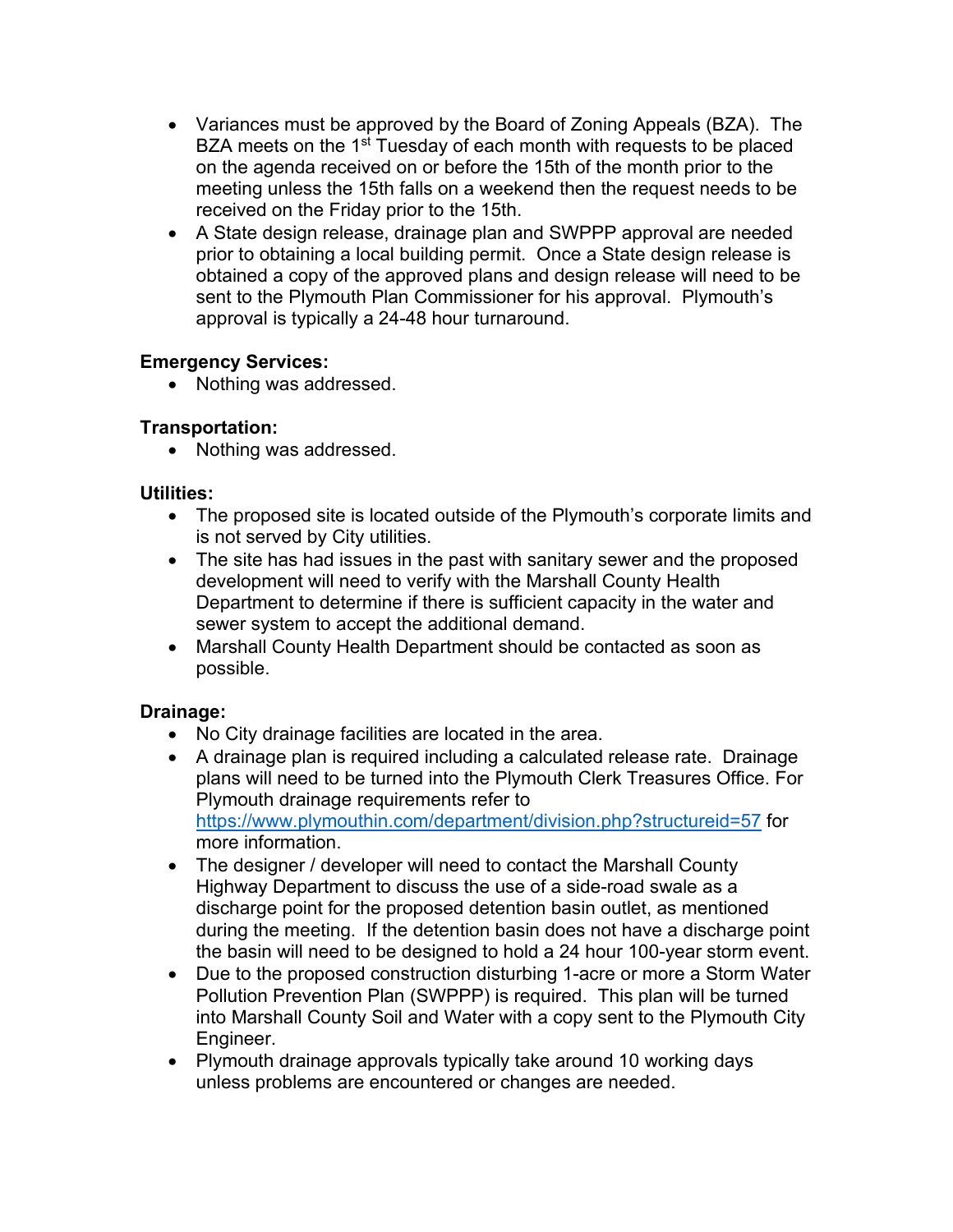- Variances must be approved by the Board of Zoning Appeals (BZA). The BZA meets on the 1<sup>st</sup> Tuesday of each month with requests to be placed on the agenda received on or before the 15th of the month prior to the meeting unless the 15th falls on a weekend then the request needs to be received on the Friday prior to the 15th.
- A State design release, drainage plan and SWPPP approval are needed prior to obtaining a local building permit. Once a State design release is obtained a copy of the approved plans and design release will need to be sent to the Plymouth Plan Commissioner for his approval. Plymouth's approval is typically a 24-48 hour turnaround.

## **Emergency Services:**

• Nothing was addressed.

### **Transportation:**

• Nothing was addressed.

### **Utilities:**

- The proposed site is located outside of the Plymouth's corporate limits and is not served by City utilities.
- The site has had issues in the past with sanitary sewer and the proposed development will need to verify with the Marshall County Health Department to determine if there is sufficient capacity in the water and sewer system to accept the additional demand.
- Marshall County Health Department should be contacted as soon as possible.

## **Drainage:**

- No City drainage facilities are located in the area.
- A drainage plan is required including a calculated release rate. Drainage plans will need to be turned into the Plymouth Clerk Treasures Office. For Plymouth drainage requirements refer to https://www.plymouthin.com/department/division.php?structureid=57 for more information.
- The designer / developer will need to contact the Marshall County Highway Department to discuss the use of a side-road swale as a discharge point for the proposed detention basin outlet, as mentioned during the meeting. If the detention basin does not have a discharge point the basin will need to be designed to hold a 24 hour 100-year storm event.
- Due to the proposed construction disturbing 1-acre or more a Storm Water Pollution Prevention Plan (SWPPP) is required. This plan will be turned into Marshall County Soil and Water with a copy sent to the Plymouth City Engineer.
- Plymouth drainage approvals typically take around 10 working days unless problems are encountered or changes are needed.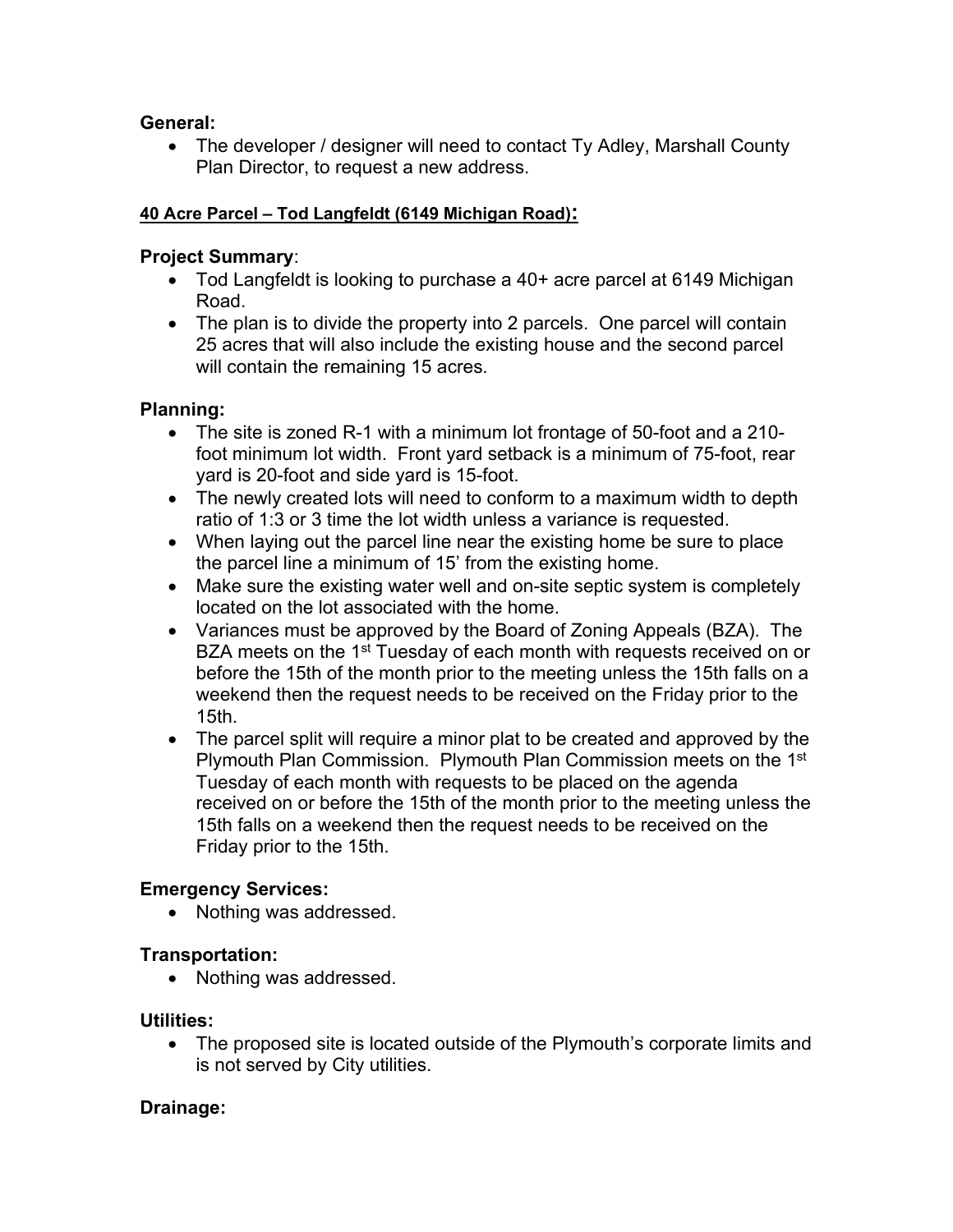### **General:**

• The developer / designer will need to contact Ty Adley, Marshall County Plan Director, to request a new address.

### **40 Acre Parcel – Tod Langfeldt (6149 Michigan Road):**

#### **Project Summary**:

- Tod Langfeldt is looking to purchase a 40+ acre parcel at 6149 Michigan Road.
- The plan is to divide the property into 2 parcels. One parcel will contain 25 acres that will also include the existing house and the second parcel will contain the remaining 15 acres.

### **Planning:**

- The site is zoned R-1 with a minimum lot frontage of 50-foot and a 210 foot minimum lot width. Front yard setback is a minimum of 75-foot, rear yard is 20-foot and side yard is 15-foot.
- The newly created lots will need to conform to a maximum width to depth ratio of 1:3 or 3 time the lot width unless a variance is requested.
- When laying out the parcel line near the existing home be sure to place the parcel line a minimum of 15' from the existing home.
- Make sure the existing water well and on-site septic system is completely located on the lot associated with the home.
- Variances must be approved by the Board of Zoning Appeals (BZA). The BZA meets on the 1<sup>st</sup> Tuesday of each month with requests received on or before the 15th of the month prior to the meeting unless the 15th falls on a weekend then the request needs to be received on the Friday prior to the 15th.
- The parcel split will require a minor plat to be created and approved by the Plymouth Plan Commission. Plymouth Plan Commission meets on the 1st Tuesday of each month with requests to be placed on the agenda received on or before the 15th of the month prior to the meeting unless the 15th falls on a weekend then the request needs to be received on the Friday prior to the 15th.

## **Emergency Services:**

• Nothing was addressed.

## **Transportation:**

• Nothing was addressed.

## **Utilities:**

 The proposed site is located outside of the Plymouth's corporate limits and is not served by City utilities.

## **Drainage:**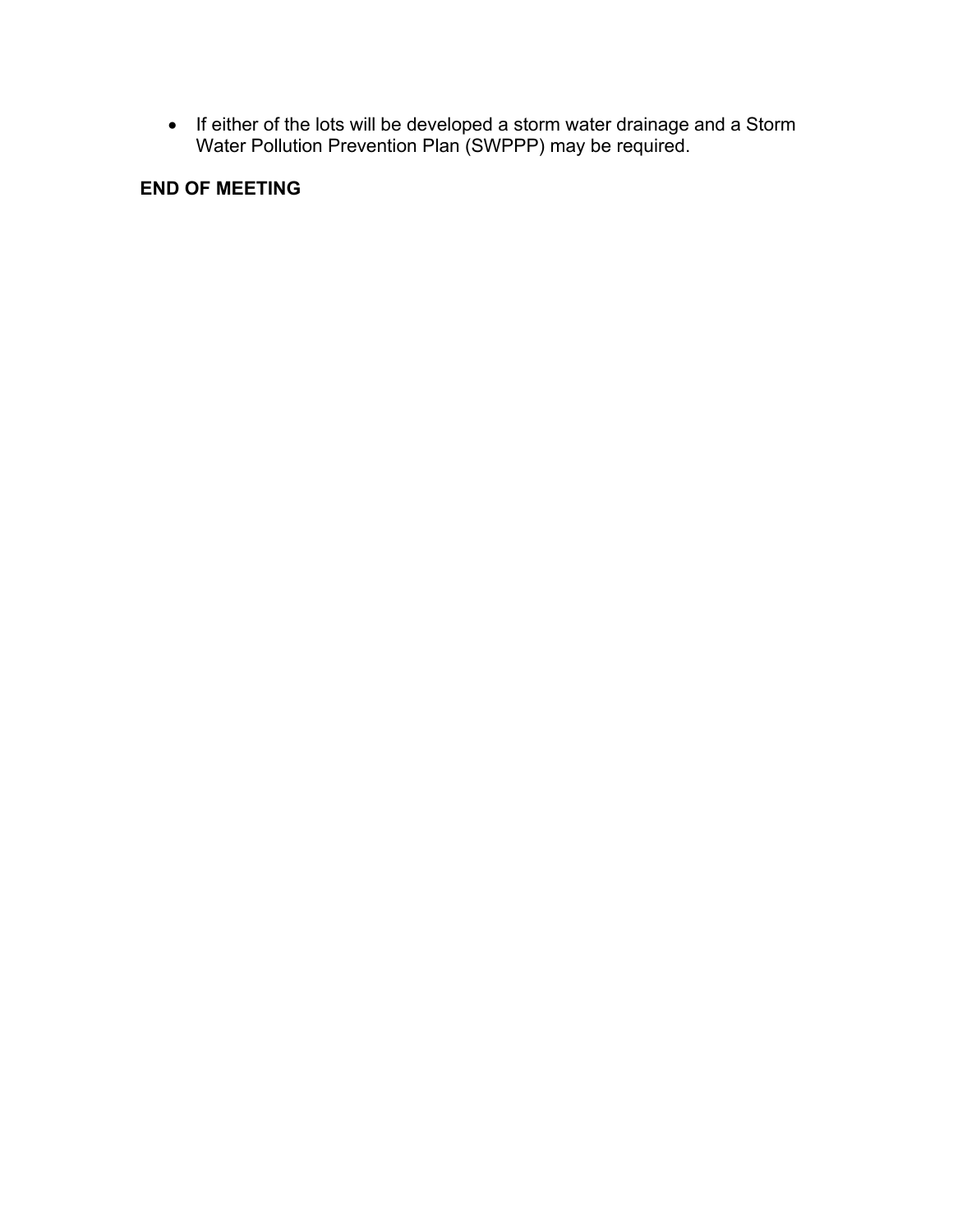• If either of the lots will be developed a storm water drainage and a Storm Water Pollution Prevention Plan (SWPPP) may be required.

# **END OF MEETING**